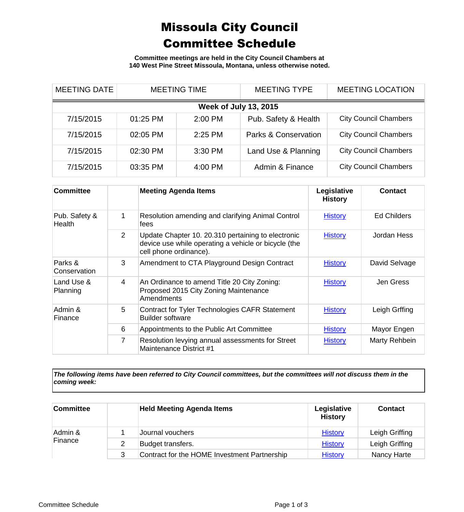## Missoula City Council Committee Schedule

**Committee meetings are held in the City Council Chambers at 140 West Pine Street Missoula, Montana, unless otherwise noted.**

| <b>MEETING DATE</b>          | <b>MEETING TIME</b> |           | <b>MEETING TYPE</b>  | <b>MEETING LOCATION</b>      |  |
|------------------------------|---------------------|-----------|----------------------|------------------------------|--|
| <b>Week of July 13, 2015</b> |                     |           |                      |                              |  |
| 7/15/2015                    | 01:25 PM            | 2:00 PM   | Pub. Safety & Health | <b>City Council Chambers</b> |  |
| 7/15/2015                    | 02:05 PM            | $2:25$ PM | Parks & Conservation | <b>City Council Chambers</b> |  |
| 7/15/2015                    | 02:30 PM            | 3:30 PM   | Land Use & Planning  | <b>City Council Chambers</b> |  |
| 7/15/2015                    | 03:35 PM            | 4:00 PM   | Admin & Finance      | <b>City Council Chambers</b> |  |

| <b>Committee</b>        |                | <b>Meeting Agenda Items</b>                                                                                                          | Legislative<br><b>History</b> | <b>Contact</b>     |
|-------------------------|----------------|--------------------------------------------------------------------------------------------------------------------------------------|-------------------------------|--------------------|
| Pub. Safety &<br>Health | 1              | Resolution amending and clarifying Animal Control<br>fees                                                                            | <b>History</b>                | <b>Ed Childers</b> |
|                         | 2              | Update Chapter 10. 20.310 pertaining to electronic<br>device use while operating a vehicle or bicycle (the<br>cell phone ordinance). | <b>History</b>                | Jordan Hess        |
| Parks &<br>Conservation | 3              | Amendment to CTA Playground Design Contract                                                                                          | <b>History</b>                | David Selvage      |
| Land Use &<br>Planning  | 4              | An Ordinance to amend Title 20 City Zoning:<br>Proposed 2015 City Zoning Maintenance<br>Amendments                                   | <b>History</b>                | Jen Gress          |
| Admin &<br>Finance      | 5              | Contract for Tyler Technologies CAFR Statement<br><b>Builder software</b>                                                            | <b>History</b>                | Leigh Grffing      |
|                         | 6              | Appointments to the Public Art Committee                                                                                             | <b>History</b>                | Mayor Engen        |
|                         | $\overline{7}$ | Resolution levying annual assessments for Street<br>Maintenance District #1                                                          | <b>History</b>                | Marty Rehbein      |

*The following items have been referred to City Council committees, but the committees will not discuss them in the coming week:*

| <b>Committee</b>   | <b>Held Meeting Agenda Items</b>             | Legislative<br><b>History</b> | <b>Contact</b>     |
|--------------------|----------------------------------------------|-------------------------------|--------------------|
| Admin &<br>Finance | Journal vouchers                             | <b>History</b>                | Leigh Griffing     |
|                    | Budget transfers.                            | <b>History</b>                | Leigh Griffing     |
|                    | Contract for the HOME Investment Partnership | <b>History</b>                | <b>Nancy Harte</b> |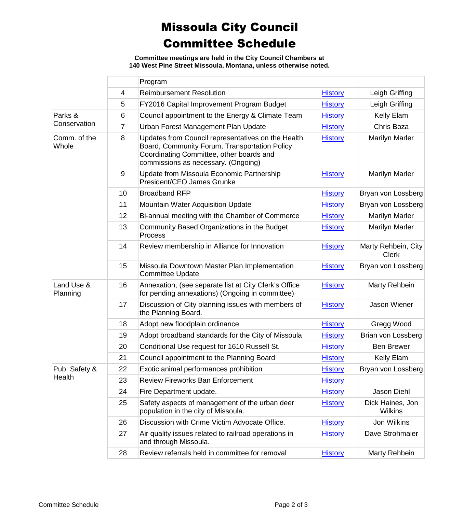## Missoula City Council Committee Schedule

**Committee meetings are held in the City Council Chambers at 140 West Pine Street Missoula, Montana, unless otherwise noted.**

|                         |                | Program                                                                                                                                                                                |                |                                     |
|-------------------------|----------------|----------------------------------------------------------------------------------------------------------------------------------------------------------------------------------------|----------------|-------------------------------------|
|                         | $\overline{4}$ | <b>Reimbursement Resolution</b>                                                                                                                                                        | <b>History</b> | Leigh Griffing                      |
|                         | 5              | FY2016 Capital Improvement Program Budget                                                                                                                                              | <b>History</b> | Leigh Griffing                      |
| Parks &<br>Conservation | 6              | Council appointment to the Energy & Climate Team                                                                                                                                       | <b>History</b> | Kelly Elam                          |
|                         | 7              | Urban Forest Management Plan Update                                                                                                                                                    | <b>History</b> | Chris Boza                          |
| Comm. of the<br>Whole   | 8              | Updates from Council representatives on the Health<br>Board, Community Forum, Transportation Policy<br>Coordinating Committee, other boards and<br>commissions as necessary. (Ongoing) | <b>History</b> | <b>Marilyn Marler</b>               |
|                         | $9\,$          | Update from Missoula Economic Partnership<br>President/CEO James Grunke                                                                                                                | <b>History</b> | <b>Marilyn Marler</b>               |
|                         | 10             | <b>Broadband RFP</b>                                                                                                                                                                   | <b>History</b> | Bryan von Lossberg                  |
|                         | 11             | Mountain Water Acquisition Update                                                                                                                                                      | <b>History</b> | Bryan von Lossberg                  |
|                         | 12             | Bi-annual meeting with the Chamber of Commerce                                                                                                                                         | <b>History</b> | <b>Marilyn Marler</b>               |
|                         | 13             | Community Based Organizations in the Budget<br>Process                                                                                                                                 | <b>History</b> | <b>Marilyn Marler</b>               |
|                         | 14             | Review membership in Alliance for Innovation                                                                                                                                           | <b>History</b> | Marty Rehbein, City<br><b>Clerk</b> |
|                         | 15             | Missoula Downtown Master Plan Implementation<br><b>Committee Update</b>                                                                                                                | <b>History</b> | Bryan von Lossberg                  |
| Land Use &<br>Planning  | 16             | Annexation, (see separate list at City Clerk's Office<br>for pending annexations) (Ongoing in committee)                                                                               | <b>History</b> | Marty Rehbein                       |
|                         | 17             | Discussion of City planning issues with members of<br>the Planning Board.                                                                                                              | <b>History</b> | <b>Jason Wiener</b>                 |
|                         | 18             | Adopt new floodplain ordinance                                                                                                                                                         | <b>History</b> | Gregg Wood                          |
|                         | 19             | Adopt broadband standards for the City of Missoula                                                                                                                                     | <b>History</b> | Brian von Lossberg                  |
|                         | 20             | Conditional Use request for 1610 Russell St.                                                                                                                                           | <b>History</b> | <b>Ben Brewer</b>                   |
|                         | 21             | Council appointment to the Planning Board                                                                                                                                              | <b>History</b> | Kelly Elam                          |
| Pub. Safety &<br>Health | 22             | Exotic animal performances prohibition                                                                                                                                                 | <b>History</b> | Bryan von Lossberg                  |
|                         | 23             | <b>Review Fireworks Ban Enforcement</b>                                                                                                                                                | <b>History</b> |                                     |
|                         | 24             | Fire Department update.                                                                                                                                                                | <b>History</b> | Jason Diehl                         |
|                         | 25             | Safety aspects of management of the urban deer<br>population in the city of Missoula.                                                                                                  | <b>History</b> | Dick Haines, Jon<br><b>Wilkins</b>  |
|                         | 26             | Discussion with Crime Victim Advocate Office.                                                                                                                                          | <b>History</b> | Jon Wilkins                         |
|                         | 27             | Air quality issues related to railroad operations in<br>and through Missoula.                                                                                                          | <b>History</b> | Dave Strohmaier                     |
|                         | 28             | Review referrals held in committee for removal                                                                                                                                         | <b>History</b> | Marty Rehbein                       |